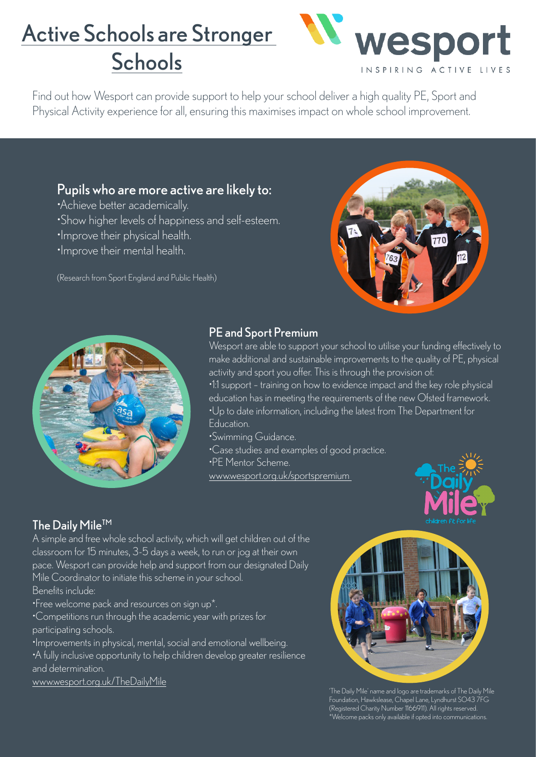# Active Schools are Stronger **Schools**



Find out how Wesport can provide support to help your school deliver a high quality PE, Sport and Physical Activity experience for all, ensuring this maximises impact on whole school improvement.

## Pupils who are more active are likely to:

•Achieve better academically.

- •Show higher levels of happiness and self-esteem.
- •Improve their physical health.
- •Improve their mental health.

(Research from Sport England and Public Health)





#### PE and Sport Premium

Wesport are able to support your school to utilise your funding effectively to make additional and sustainable improvements to the quality of PE, physical activity and sport you offer. This is through the provision of:

•1:1 support – training on how to evidence impact and the key role physical education has in meeting the requirements of the new Ofsted framework. •Up to date information, including the latest from The Department for Education.

- •Swimming Guidance.
- 
- •Case studies and examples of good practice.
- •PE Mentor Scheme.

[www.wesport.org.uk/sportspremium](http://www.wesport.org.uk/sportspremium ) 



## The Daily Mile<sup>TM</sup>

A simple and free whole school activity, which will get children out of the classroom for 15 minutes, 3-5 days a week, to run or jog at their own pace. Wesport can provide help and support from our designated Daily Mile Coordinator to initiate this scheme in your school. Benefits include:

•Free welcome pack and resources on sign up\*.

•Competitions run through the academic year with prizes for participating schools.

•Improvements in physical, mental, social and emotional wellbeing. •A fully inclusive opportunity to help children develop greater resilience and determination.

[www.wesport.org.uk/TheDailyMile](http://www.wesport.org.uk/TheDailyMile)



'The Daily Mile' name and logo are trademarks of The Daily Mile Foundation, Hawkslease, Chapel Lane, Lyndhurst SO43 7FG (Registered Charity Number 1166911). All rights reserved. \*Welcome packs only available if opted into communications.